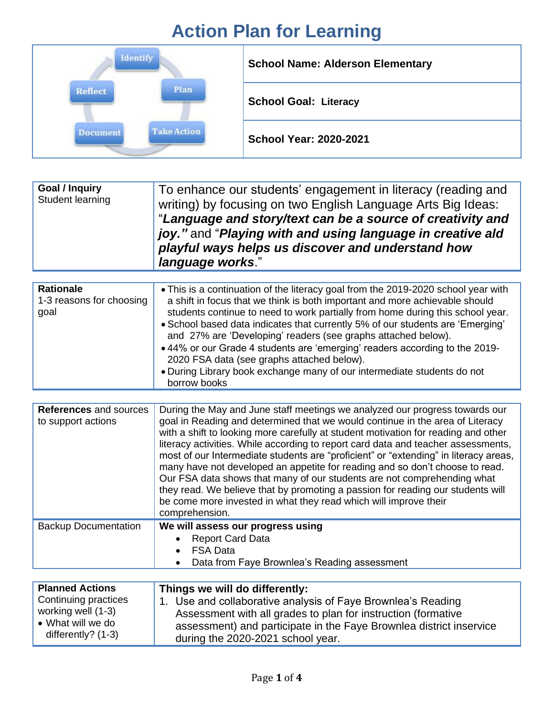## **Action Plan for Learning**

| <b>Identify</b>                       | <b>School Name: Alderson Elementary</b> |
|---------------------------------------|-----------------------------------------|
| Plan<br>Reflect                       | <b>School Goal: Literacy</b>            |
| <b>Take Action</b><br><b>Document</b> | <b>School Year: 2020-2021</b>           |

| Goal / Inquiry<br>To enhance our students' engagement in literacy (reading and<br>Student learning<br>writing) by focusing on two English Language Arts Big Ideas:<br>"Language and story/text can be a source of creativity and<br>joy." and "Playing with and using language in creative ald<br>playful ways helps us discover and understand how<br>language works." |
|-------------------------------------------------------------------------------------------------------------------------------------------------------------------------------------------------------------------------------------------------------------------------------------------------------------------------------------------------------------------------|
|-------------------------------------------------------------------------------------------------------------------------------------------------------------------------------------------------------------------------------------------------------------------------------------------------------------------------------------------------------------------------|

| <b>Rationale</b><br>1-3 reasons for choosing<br>goal | • This is a continuation of the literacy goal from the 2019-2020 school year with<br>a shift in focus that we think is both important and more achievable should<br>students continue to need to work partially from home during this school year.<br>• School based data indicates that currently 5% of our students are 'Emerging'<br>and 27% are 'Developing' readers (see graphs attached below).<br>• 44% or our Grade 4 students are 'emerging' readers according to the 2019-<br>2020 FSA data (see graphs attached below).<br>. During Library book exchange many of our intermediate students do not<br>borrow books |
|------------------------------------------------------|-------------------------------------------------------------------------------------------------------------------------------------------------------------------------------------------------------------------------------------------------------------------------------------------------------------------------------------------------------------------------------------------------------------------------------------------------------------------------------------------------------------------------------------------------------------------------------------------------------------------------------|
|------------------------------------------------------|-------------------------------------------------------------------------------------------------------------------------------------------------------------------------------------------------------------------------------------------------------------------------------------------------------------------------------------------------------------------------------------------------------------------------------------------------------------------------------------------------------------------------------------------------------------------------------------------------------------------------------|

| <b>References and sources</b><br>to support actions | During the May and June staff meetings we analyzed our progress towards our<br>goal in Reading and determined that we would continue in the area of Literacy<br>with a shift to looking more carefully at student motivation for reading and other<br>literacy activities. While according to report card data and teacher assessments,<br>most of our Intermediate students are "proficient" or "extending" in literacy areas,<br>many have not developed an appetite for reading and so don't choose to read.<br>Our FSA data shows that many of our students are not comprehending what<br>they read. We believe that by promoting a passion for reading our students will<br>be come more invested in what they read which will improve their<br>comprehension. |
|-----------------------------------------------------|---------------------------------------------------------------------------------------------------------------------------------------------------------------------------------------------------------------------------------------------------------------------------------------------------------------------------------------------------------------------------------------------------------------------------------------------------------------------------------------------------------------------------------------------------------------------------------------------------------------------------------------------------------------------------------------------------------------------------------------------------------------------|
| <b>Backup Documentation</b>                         | We will assess our progress using<br><b>Report Card Data</b><br><b>FSA Data</b><br>Data from Faye Brownlea's Reading assessment                                                                                                                                                                                                                                                                                                                                                                                                                                                                                                                                                                                                                                     |

| <b>Planned Actions</b>      | Things we will do differently:                                      |
|-----------------------------|---------------------------------------------------------------------|
| <b>Continuing practices</b> | 1. Use and collaborative analysis of Faye Brownlea's Reading        |
| working well (1-3)          | Assessment with all grades to plan for instruction (formative       |
| • What will we do           | assessment) and participate in the Faye Brownlea district inservice |
| differently? $(1-3)$        | during the 2020-2021 school year.                                   |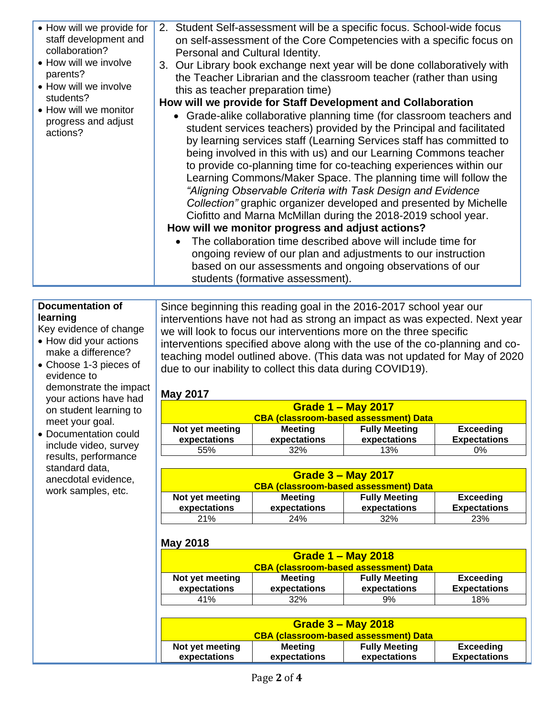|--|

### **Documentation of learning**

Key evidence of change

- How did your actions make a difference?
- Choose 1-3 pieces of evidence to demonstrate the impact your actions have had on student learning to meet your goal.
- Documentation could include video, survey results, performance standard data, anecdotal evidence, work samples, etc.

Since beginning this reading goal in the 2016-2017 school year our interventions have not had as strong an impact as was expected. Next year we will look to focus our interventions more on the three specific interventions specified above along with the use of the co-planning and coteaching model outlined above. (This data was not updated for May of 2020 due to our inability to collect this data during COVID19).

### **May 2017**

| <b>Grade 1 - May 2017</b>                                                                                                                            |     |     |       |
|------------------------------------------------------------------------------------------------------------------------------------------------------|-----|-----|-------|
| <b>CBA (classroom-based assessment) Data</b>                                                                                                         |     |     |       |
| <b>Fully Meeting</b><br>Not yet meeting<br><b>Exceeding</b><br><b>Meeting</b><br>expectations<br>expectations<br><b>Expectations</b><br>expectations |     |     |       |
| 55%                                                                                                                                                  | 32% | 13% | $0\%$ |

| <b>Grade 3 – May 2017</b><br><b>CBA (classroom-based assessment) Data</b> |                |                      |                     |
|---------------------------------------------------------------------------|----------------|----------------------|---------------------|
| Not yet meeting                                                           | <b>Meeting</b> | <b>Fully Meeting</b> | <b>Exceeding</b>    |
| expectations                                                              | expectations   | expectations         | <b>Expectations</b> |
| 21%                                                                       | <b>24%</b>     | 32%                  | 23%                 |

### **May 2018**

| <b>Grade 1 - May 2018</b>                                                     |                                              |    |     |
|-------------------------------------------------------------------------------|----------------------------------------------|----|-----|
|                                                                               | <b>CBA (classroom-based assessment) Data</b> |    |     |
| <b>Fully Meeting</b><br><b>Exceeding</b><br>Not yet meeting<br><b>Meeting</b> |                                              |    |     |
| expectations<br>expectations<br>expectations<br><b>Expectations</b>           |                                              |    |     |
| 41%                                                                           | 32%                                          | 9% | 18% |

| Grade $3 -$ May 2018<br><b>CBA (classroom-based assessment) Data</b> |                |                      |                     |
|----------------------------------------------------------------------|----------------|----------------------|---------------------|
| Not yet meeting                                                      | <b>Meeting</b> | <b>Fully Meeting</b> | Exceeding           |
| expectations                                                         | expectations   | expectations         | <b>Expectations</b> |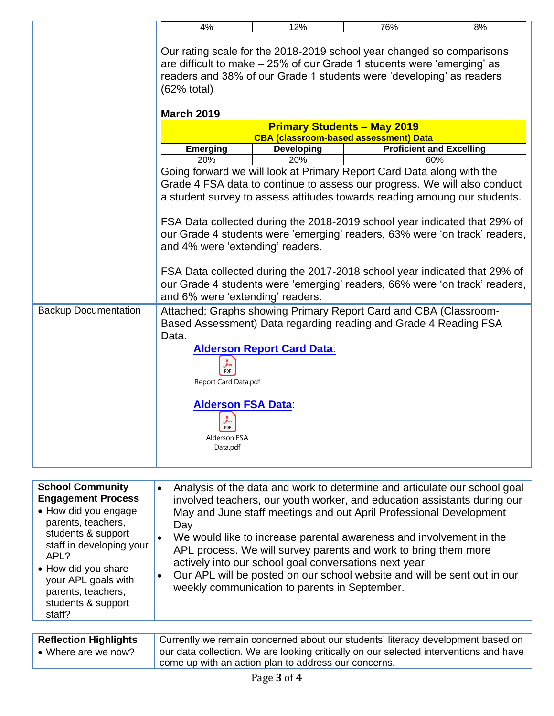|                             | 4%                                                                                                                                                                                                                                                 | 12%                                                                                                                                                                                                                             | 76%                                          | 8%                                                                         |
|-----------------------------|----------------------------------------------------------------------------------------------------------------------------------------------------------------------------------------------------------------------------------------------------|---------------------------------------------------------------------------------------------------------------------------------------------------------------------------------------------------------------------------------|----------------------------------------------|----------------------------------------------------------------------------|
|                             | Our rating scale for the 2018-2019 school year changed so comparisons<br>are difficult to make $-25\%$ of our Grade 1 students were 'emerging' as<br>readers and 38% of our Grade 1 students were 'developing' as readers<br>$(62% \text{ total})$ |                                                                                                                                                                                                                                 |                                              |                                                                            |
|                             | <b>March 2019</b>                                                                                                                                                                                                                                  |                                                                                                                                                                                                                                 |                                              |                                                                            |
|                             |                                                                                                                                                                                                                                                    |                                                                                                                                                                                                                                 | <b>Primary Students - May 2019</b>           |                                                                            |
|                             |                                                                                                                                                                                                                                                    |                                                                                                                                                                                                                                 | <b>CBA (classroom-based assessment) Data</b> |                                                                            |
|                             | <b>Emerging</b><br>20%                                                                                                                                                                                                                             | <b>Developing</b><br>20%                                                                                                                                                                                                        | <b>Proficient and Excelling</b><br>60%       |                                                                            |
|                             |                                                                                                                                                                                                                                                    | Going forward we will look at Primary Report Card Data along with the<br>Grade 4 FSA data to continue to assess our progress. We will also conduct<br>a student survey to assess attitudes towards reading amoung our students. |                                              |                                                                            |
|                             | FSA Data collected during the 2018-2019 school year indicated that 29% of<br>our Grade 4 students were 'emerging' readers, 63% were 'on track' readers,<br>and 4% were 'extending' readers.                                                        |                                                                                                                                                                                                                                 |                                              |                                                                            |
|                             | and 6% were 'extending' readers.                                                                                                                                                                                                                   | FSA Data collected during the 2017-2018 school year indicated that 29% of                                                                                                                                                       |                                              | our Grade 4 students were 'emerging' readers, 66% were 'on track' readers, |
| <b>Backup Documentation</b> | Attached: Graphs showing Primary Report Card and CBA (Classroom-<br>Based Assessment) Data regarding reading and Grade 4 Reading FSA<br>Data.                                                                                                      |                                                                                                                                                                                                                                 |                                              |                                                                            |
|                             | $\frac{1}{\text{PDF}}$<br>Report Card Data.pdf                                                                                                                                                                                                     | <b>Alderson Report Card Data:</b>                                                                                                                                                                                               |                                              |                                                                            |
|                             | <b>Alderson FSA Data:</b><br>$\frac{1}{\text{PDF}}$<br>Alderson FSA<br>Data.pdf                                                                                                                                                                    |                                                                                                                                                                                                                                 |                                              |                                                                            |
|                             |                                                                                                                                                                                                                                                    |                                                                                                                                                                                                                                 |                                              |                                                                            |

| <b>School Community</b><br><b>Engagement Process</b><br>• How did you engage<br>parents, teachers,<br>students & support<br>staff in developing your<br>APL?<br>• How did you share<br>your APL goals with<br>parents, teachers,<br>students & support<br>staff? | Analysis of the data and work to determine and articulate our school goal<br>$\bullet$<br>involved teachers, our youth worker, and education assistants during our<br>May and June staff meetings and out April Professional Development<br>Day<br>We would like to increase parental awareness and involvement in the<br>APL process. We will survey parents and work to bring them more<br>actively into our school goal conversations next year.<br>Our APL will be posted on our school website and will be sent out in our<br>$\bullet$<br>weekly communication to parents in September. |
|------------------------------------------------------------------------------------------------------------------------------------------------------------------------------------------------------------------------------------------------------------------|-----------------------------------------------------------------------------------------------------------------------------------------------------------------------------------------------------------------------------------------------------------------------------------------------------------------------------------------------------------------------------------------------------------------------------------------------------------------------------------------------------------------------------------------------------------------------------------------------|
| <b>Reflection Highlights</b>                                                                                                                                                                                                                                     | Currently we remain concerned about our students' literacy development based on                                                                                                                                                                                                                                                                                                                                                                                                                                                                                                               |
| • Where are we now?                                                                                                                                                                                                                                              | our data collection. We are looking critically on our selected interventions and have                                                                                                                                                                                                                                                                                                                                                                                                                                                                                                         |

| <b>Reflection Highlights</b> | Currently we remain concerned about our students' literacy development based on       |
|------------------------------|---------------------------------------------------------------------------------------|
| • Where are we now?          | our data collection. We are looking critically on our selected interventions and have |
|                              | come up with an action plan to address our concerns.                                  |